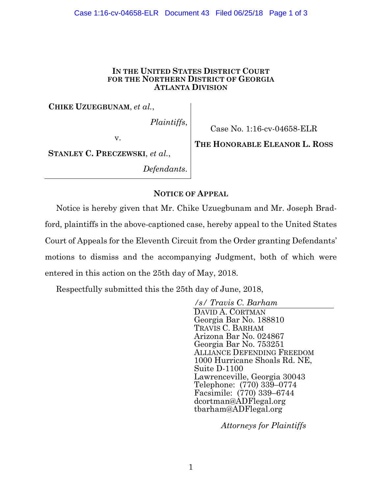#### Case 1:16-cv-04658-ELR Document 43 Filed 06/25/18 Page 1 of 3

#### **IN THE UNITED STATES DISTRICT COURT FOR THE NORTHERN DISTRICT OF GEORGIA ATLANTA DIVISION**

**CHIKE UZUEGBUNAM**, *et al.*,

*Plaintiffs*,

v.

Case No. 1:16-cv-04658-ELR

**STANLEY C. PRECZEWSKI**, *et al.*,

*Defendants*.

**THE HONORABLE ELEANOR L. ROSS**

### **NOTICE OF APPEAL**

Notice is hereby given that Mr. Chike Uzuegbunam and Mr. Joseph Bradford, plaintiffs in the above-captioned case, hereby appeal to the United States Court of Appeals for the Eleventh Circuit from the Order granting Defendants' motions to dismiss and the accompanying Judgment, both of which were entered in this action on the 25th day of May, 2018.

Respectfully submitted this the 25th day of June, 2018,

*/s/ Travis C. Barham*  DAVID A. CORTMAN Georgia Bar No. 188810 TRAVIS C. BARHAM Arizona Bar No. 024867 Georgia Bar No. 753251 ALLIANCE DEFENDING FREEDOM 1000 Hurricane Shoals Rd. NE, Suite D-1100 Lawrenceville, Georgia 30043 Telephone: (770) 339–0774 Facsimile: (770) 339–6744 dcortman@ADFlegal.org tbarham@ADFlegal.org

*Attorneys for Plaintiffs*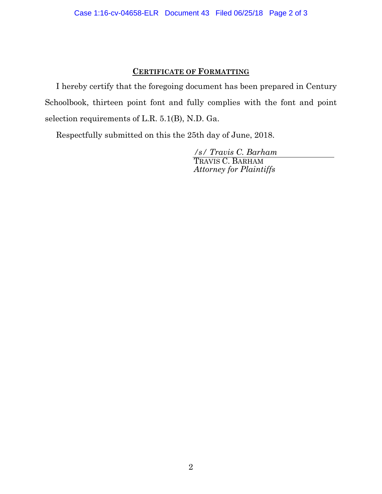# **CERTIFICATE OF FORMATTING**

I hereby certify that the foregoing document has been prepared in Century Schoolbook, thirteen point font and fully complies with the font and point selection requirements of L.R. 5.1(B), N.D. Ga.

Respectfully submitted on this the 25th day of June, 2018.

*/s/ Travis C. Barham*  TRAVIS C. BARHAM *Attorney for Plaintiffs*